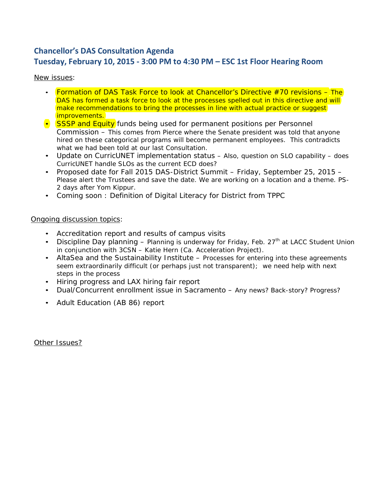# **Chancellor's DAS Consultation Agenda Tuesday, February 10, 2015 - 3:00 PM to 4:30 PM – ESC 1st Floor Hearing Room**

### *New issues:*

- Formation of DAS Task Force to look at Chancellor's Directive #70 revisions *The DAS has formed a task force to look at the processes spelled out in this directive and will make recommendations to bring the processes in line with actual practice or suggest improvements.*
- SSSP and Equity funds being used for permanent positions per Personnel Commission – *This comes from Pierce where the Senate president was told that anyone hired on these categorical programs will become permanent employees. This contradicts what we had been told at our last Consultation.*
- Update on CurricUNET implementation status *– Also, question on SLO capability – does CurricUNET handle SLOs as the current ECD does?*
- Proposed date for Fall 2015 DAS-District Summit Friday, September 25, 2015 *Please alert the Trustees and save the date. We are working on a location and a theme. PS-2 days after Yom Kippur.*
- Coming soon : Definition of Digital Literacy for District from TPPC

#### *Ongoing discussion topics:*

- Accreditation report and results of campus visits
- Discipline Day planning *Planning is underway for Friday, Feb. 27th at LACC Student Union in conjunction with 3CSN – Katie Hern (Ca. Acceleration Project).*
- AltaSea and the Sustainability Institute *Processes for entering into these agreements seem extraordinarily difficult (or perhaps just not transparent); we need help with next steps in the process*
- Hiring progress and LAX hiring fair report
- Dual/Concurrent enrollment issue in Sacramento *Any news? Back-story? Progress?*
- Adult Education (AB 86) report

*Other Issues?*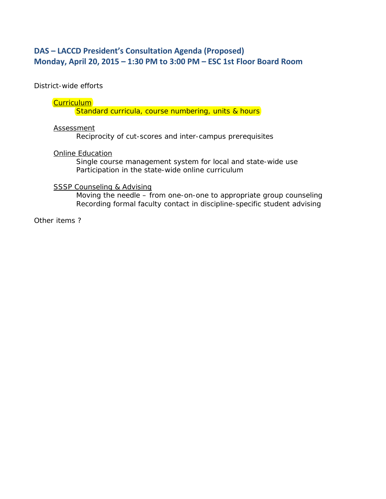# **DAS – LACCD President's Consultation Agenda (Proposed) Monday, April 20, 2015 – 1:30 PM to 3:00 PM – ESC 1st Floor Board Room**

District-wide efforts

### **Curriculum**

Standard curricula, course numbering, units & hours

#### Assessment

Reciprocity of cut-scores and inter-campus prerequisites

### Online Education

Single course management system for local and state-wide use Participation in the state-wide online curriculum

### **SSSP Counseling & Advising**

Moving the needle – from one-on-one to appropriate group counseling Recording formal faculty contact in discipline-specific student advising

Other items ?